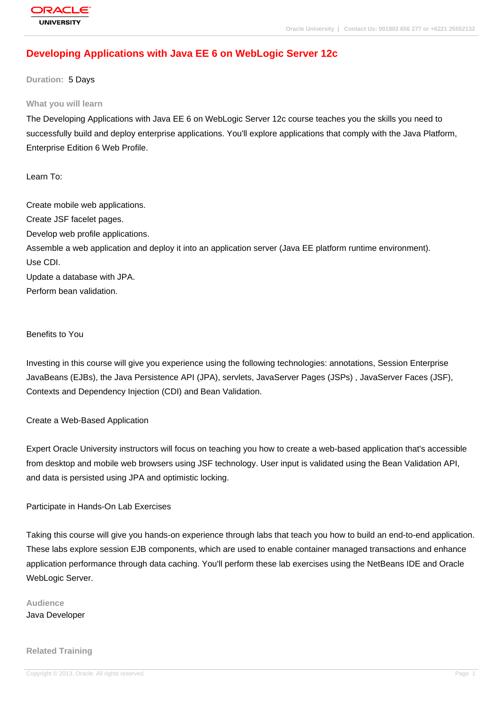# **[Developing Ap](http://education.oracle.com/pls/web_prod-plq-dad/db_pages.getpage?page_id=3)plications with Java EE 6 on WebLogic Server 12c**

**Duration:** 5 Days

#### **What you will learn**

The Developing Applications with Java EE 6 on WebLogic Server 12c course teaches you the skills you need to successfully build and deploy enterprise applications. You'll explore applications that comply with the Java Platform, Enterprise Edition 6 Web Profile.

Learn To:

Create mobile web applications. Create JSF facelet pages. Develop web profile applications. Assemble a web application and deploy it into an application server (Java EE platform runtime environment). Use CDI. Update a database with JPA. Perform bean validation.

Benefits to You

Investing in this course will give you experience using the following technologies: annotations, Session Enterprise JavaBeans (EJBs), the Java Persistence API (JPA), servlets, JavaServer Pages (JSPs) , JavaServer Faces (JSF), Contexts and Dependency Injection (CDI) and Bean Validation.

Create a Web-Based Application

Expert Oracle University instructors will focus on teaching you how to create a web-based application that's accessible from desktop and mobile web browsers using JSF technology. User input is validated using the Bean Validation API, and data is persisted using JPA and optimistic locking.

Participate in Hands-On Lab Exercises

Taking this course will give you hands-on experience through labs that teach you how to build an end-to-end application. These labs explore session EJB components, which are used to enable container managed transactions and enhance application performance through data caching. You'll perform these lab exercises using the NetBeans IDE and Oracle WebLogic Server.

**Audience** Java Developer

#### **Related Training**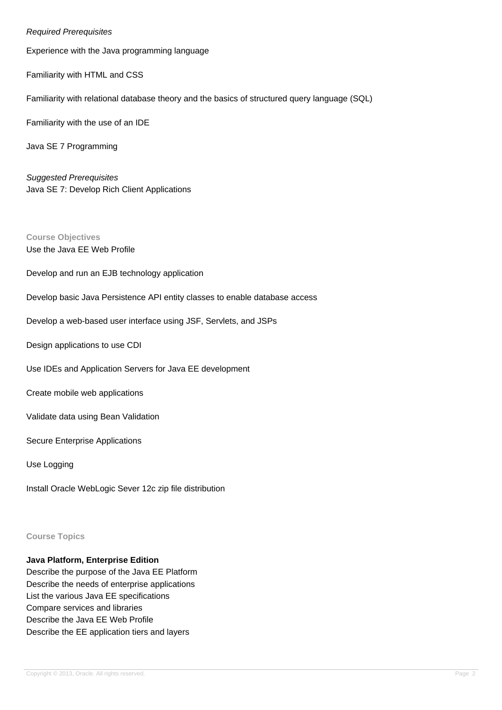Required Prerequisites Experience with the Java programming language Familiarity with HTML and CSS Familiarity with relational database theory and the basics of structured query language (SQL) Familiarity with the use of an IDE Java SE 7 Programming Suggested Prerequisites Java SE 7: Develop Rich Client Applications **Course Objectives** Use the Java EE Web Profile Develop and run an EJB technology application Develop basic Java Persistence API entity classes to enable database access Develop a web-based user interface using JSF, Servlets, and JSPs Design applications to use CDI Use IDEs and Application Servers for Java EE development Create mobile web applications Validate data using Bean Validation Secure Enterprise Applications Use Logging Install Oracle WebLogic Sever 12c zip file distribution

#### **Course Topics**

## **Java Platform, Enterprise Edition**

Describe the purpose of the Java EE Platform Describe the needs of enterprise applications List the various Java EE specifications Compare services and libraries Describe the Java EE Web Profile Describe the EE application tiers and layers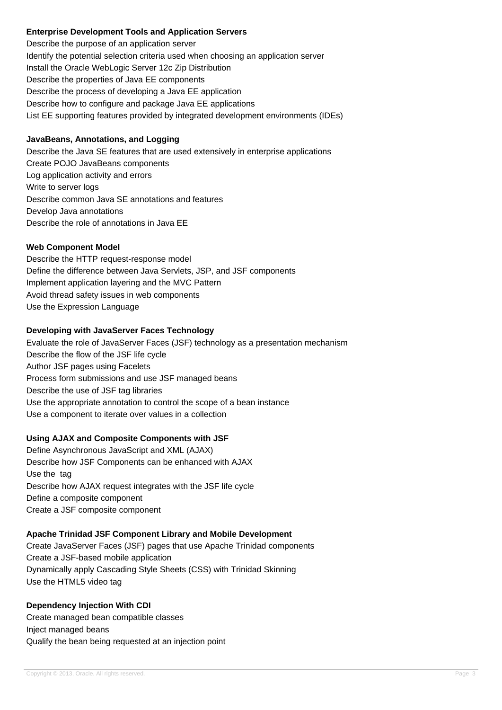### **Enterprise Development Tools and Application Servers**

Describe the purpose of an application server Identify the potential selection criteria used when choosing an application server Install the Oracle WebLogic Server 12c Zip Distribution Describe the properties of Java EE components Describe the process of developing a Java EE application Describe how to configure and package Java EE applications List EE supporting features provided by integrated development environments (IDEs)

## **JavaBeans, Annotations, and Logging**

Describe the Java SE features that are used extensively in enterprise applications Create POJO JavaBeans components Log application activity and errors Write to server logs Describe common Java SE annotations and features Develop Java annotations Describe the role of annotations in Java EE

### **Web Component Model**

Describe the HTTP request-response model Define the difference between Java Servlets, JSP, and JSF components Implement application layering and the MVC Pattern Avoid thread safety issues in web components Use the Expression Language

### **Developing with JavaServer Faces Technology**

Evaluate the role of JavaServer Faces (JSF) technology as a presentation mechanism Describe the flow of the JSF life cycle Author JSF pages using Facelets Process form submissions and use JSF managed beans Describe the use of JSF tag libraries Use the appropriate annotation to control the scope of a bean instance Use a component to iterate over values in a collection

## **Using AJAX and Composite Components with JSF**

Define Asynchronous JavaScript and XML (AJAX) Describe how JSF Components can be enhanced with AJAX Use the tag Describe how AJAX request integrates with the JSF life cycle Define a composite component Create a JSF composite component

#### **Apache Trinidad JSF Component Library and Mobile Development**

Create JavaServer Faces (JSF) pages that use Apache Trinidad components Create a JSF-based mobile application Dynamically apply Cascading Style Sheets (CSS) with Trinidad Skinning Use the HTML5 video tag

**Dependency Injection With CDI** Create managed bean compatible classes Inject managed beans Qualify the bean being requested at an injection point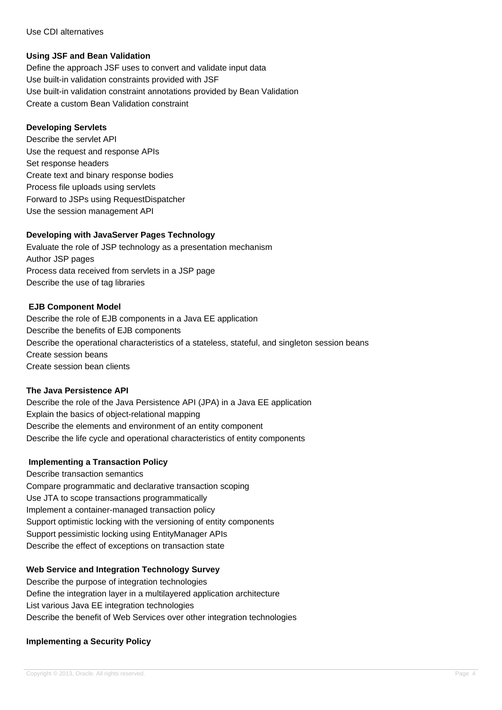#### Use CDI alternatives

### **Using JSF and Bean Validation**

Define the approach JSF uses to convert and validate input data Use built-in validation constraints provided with JSF Use built-in validation constraint annotations provided by Bean Validation Create a custom Bean Validation constraint

### **Developing Servlets**

Describe the servlet API Use the request and response APIs Set response headers Create text and binary response bodies Process file uploads using servlets Forward to JSPs using RequestDispatcher Use the session management API

### **Developing with JavaServer Pages Technology**

Evaluate the role of JSP technology as a presentation mechanism Author JSP pages Process data received from servlets in a JSP page Describe the use of tag libraries

### **EJB Component Model**

Describe the role of EJB components in a Java EE application Describe the benefits of EJB components Describe the operational characteristics of a stateless, stateful, and singleton session beans Create session beans Create session bean clients

#### **The Java Persistence API**

Describe the role of the Java Persistence API (JPA) in a Java EE application Explain the basics of object-relational mapping Describe the elements and environment of an entity component Describe the life cycle and operational characteristics of entity components

#### **Implementing a Transaction Policy**

Describe transaction semantics Compare programmatic and declarative transaction scoping Use JTA to scope transactions programmatically Implement a container-managed transaction policy Support optimistic locking with the versioning of entity components Support pessimistic locking using EntityManager APIs Describe the effect of exceptions on transaction state

## **Web Service and Integration Technology Survey**

Describe the purpose of integration technologies Define the integration layer in a multilayered application architecture List various Java EE integration technologies Describe the benefit of Web Services over other integration technologies

## **Implementing a Security Policy**